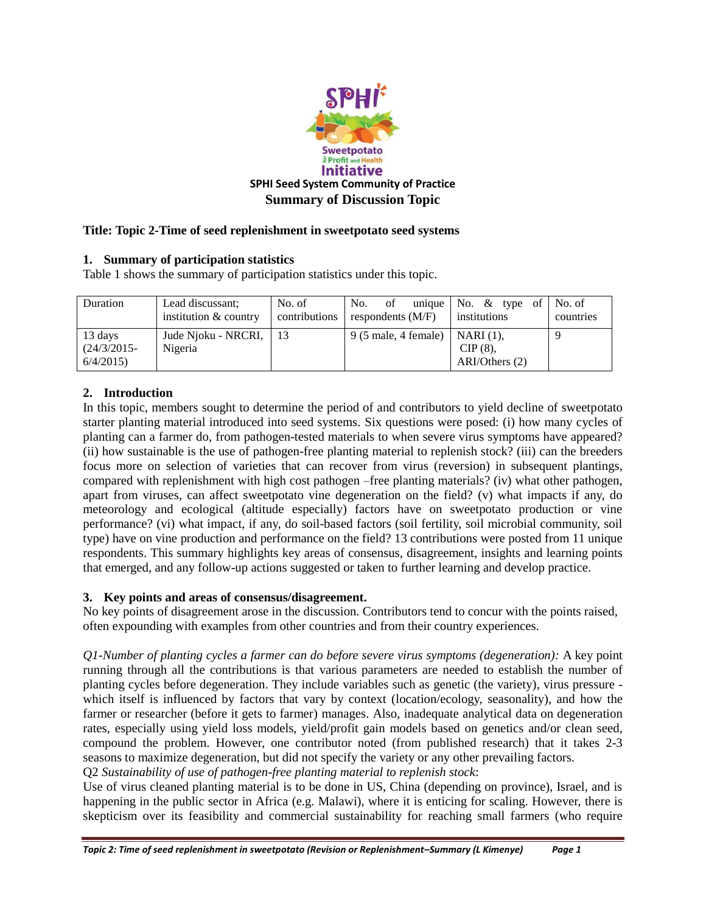

## **Title: Topic 2-Time of seed replenishment in sweetpotato seed systems**

## **1. Summary of participation statistics**

Table 1 shows the summary of participation statistics under this topic.

| Duration                              | Lead discussant:<br>institution & country | No. of<br>contributions | No.<br>- of<br>respondents $(M/F)$    | unique $\vert$ No. & type of<br>institutions  | No. of<br>countries |
|---------------------------------------|-------------------------------------------|-------------------------|---------------------------------------|-----------------------------------------------|---------------------|
| 13 days<br>$(24/3/2015 -$<br>6/4/2015 | Jude Nioku - NRCRI,<br>Nigeria            | l 13                    | $9(5 \text{ male}, 4 \text{ female})$ | $NARI(1)$ .<br>$CIP(8)$ ,<br>$ARI/Others$ (2) |                     |

## **2. Introduction**

In this topic, members sought to determine the period of and contributors to yield decline of sweetpotato starter planting material introduced into seed systems. Six questions were posed: (i) how many cycles of planting can a farmer do, from pathogen-tested materials to when severe virus symptoms have appeared? (ii) how sustainable is the use of pathogen-free planting material to replenish stock? (iii) can the breeders focus more on selection of varieties that can recover from virus (reversion) in subsequent plantings, compared with replenishment with high cost pathogen –free planting materials? (iv) what other pathogen, apart from viruses, can affect sweetpotato vine degeneration on the field? (v) what impacts if any, do meteorology and ecological (altitude especially) factors have on sweetpotato production or vine performance? (vi) what impact, if any, do soil-based factors (soil fertility, soil microbial community, soil type) have on vine production and performance on the field? 13 contributions were posted from 11 unique respondents. This summary highlights key areas of consensus, disagreement, insights and learning points that emerged, and any follow-up actions suggested or taken to further learning and develop practice.

## **3. Key points and areas of consensus/disagreement.**

No key points of disagreement arose in the discussion. Contributors tend to concur with the points raised, often expounding with examples from other countries and from their country experiences.

*Q1-Number of planting cycles a farmer can do before severe virus symptoms (degeneration):* A key point running through all the contributions is that various parameters are needed to establish the number of planting cycles before degeneration. They include variables such as genetic (the variety), virus pressure which itself is influenced by factors that vary by context (location/ecology, seasonality), and how the farmer or researcher (before it gets to farmer) manages. Also, inadequate analytical data on degeneration rates, especially using yield loss models, yield/profit gain models based on genetics and/or clean seed, compound the problem. However, one contributor noted (from published research) that it takes 2-3 seasons to maximize degeneration, but did not specify the variety or any other prevailing factors. Q2 *Sustainability of use of pathogen-free planting material to replenish stock*:

Use of virus cleaned planting material is to be done in US, China (depending on province), Israel, and is happening in the public sector in Africa (e.g. Malawi), where it is enticing for scaling. However, there is skepticism over its feasibility and commercial sustainability for reaching small farmers (who require